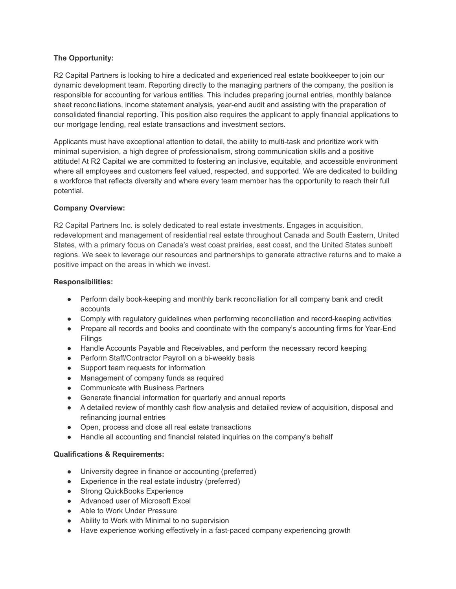# **The Opportunity:**

R2 Capital Partners is looking to hire a dedicated and experienced real estate bookkeeper to join our dynamic development team. Reporting directly to the managing partners of the company, the position is responsible for accounting for various entities. This includes preparing journal entries, monthly balance sheet reconciliations, income statement analysis, year-end audit and assisting with the preparation of consolidated financial reporting. This position also requires the applicant to apply financial applications to our mortgage lending, real estate transactions and investment sectors.

Applicants must have exceptional attention to detail, the ability to multi-task and prioritize work with minimal supervision, a high degree of professionalism, strong communication skills and a positive attitude! At R2 Capital we are committed to fostering an inclusive, equitable, and accessible environment where all employees and customers feel valued, respected, and supported. We are dedicated to building a workforce that reflects diversity and where every team member has the opportunity to reach their full potential.

# **Company Overview:**

R2 Capital Partners Inc. is solely dedicated to real estate investments. Engages in acquisition, redevelopment and management of residential real estate throughout Canada and South Eastern, United States, with a primary focus on Canada's west coast prairies, east coast, and the United States sunbelt regions. We seek to leverage our resources and partnerships to generate attractive returns and to make a positive impact on the areas in which we invest.

# **Responsibilities:**

- Perform daily book-keeping and monthly bank reconciliation for all company bank and credit accounts
- Comply with regulatory guidelines when performing reconciliation and record-keeping activities
- Prepare all records and books and coordinate with the company's accounting firms for Year-End Filings
- Handle Accounts Payable and Receivables, and perform the necessary record keeping
- Perform Staff/Contractor Payroll on a bi-weekly basis
- Support team requests for information
- Management of company funds as required
- Communicate with Business Partners
- Generate financial information for quarterly and annual reports
- A detailed review of monthly cash flow analysis and detailed review of acquisition, disposal and refinancing journal entries
- Open, process and close all real estate transactions
- Handle all accounting and financial related inquiries on the company's behalf

# **Qualifications & Requirements:**

- University degree in finance or accounting (preferred)
- Experience in the real estate industry (preferred)
- Strong QuickBooks Experience
- Advanced user of Microsoft Excel
- Able to Work Under Pressure
- Ability to Work with Minimal to no supervision
- Have experience working effectively in a fast-paced company experiencing growth